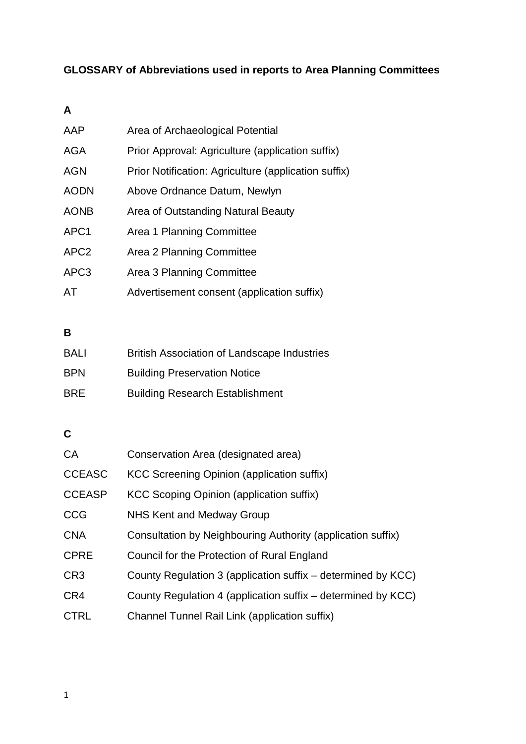## **GLOSSARY of Abbreviations used in reports to Area Planning Committees**

#### **A**

| AAP              | Area of Archaeological Potential                     |
|------------------|------------------------------------------------------|
| <b>AGA</b>       | Prior Approval: Agriculture (application suffix)     |
| <b>AGN</b>       | Prior Notification: Agriculture (application suffix) |
| <b>AODN</b>      | Above Ordnance Datum, Newlyn                         |
| <b>AONB</b>      | Area of Outstanding Natural Beauty                   |
| APC <sub>1</sub> | Area 1 Planning Committee                            |
| APC <sub>2</sub> | Area 2 Planning Committee                            |
| APC <sub>3</sub> | Area 3 Planning Committee                            |
| AT               | Advertisement consent (application suffix)           |

#### **B**

| <b>BALI</b> | <b>British Association of Landscape Industries</b> |
|-------------|----------------------------------------------------|
| <b>BPN</b>  | <b>Building Preservation Notice</b>                |
| <b>BRE</b>  | <b>Building Research Establishment</b>             |

### **C**

| CA              | Conservation Area (designated area)                          |
|-----------------|--------------------------------------------------------------|
| <b>CCEASC</b>   | KCC Screening Opinion (application suffix)                   |
| <b>CCEASP</b>   | <b>KCC Scoping Opinion (application suffix)</b>              |
| <b>CCG</b>      | NHS Kent and Medway Group                                    |
| <b>CNA</b>      | Consultation by Neighbouring Authority (application suffix)  |
| <b>CPRE</b>     | Council for the Protection of Rural England                  |
| CR <sub>3</sub> | County Regulation 3 (application suffix – determined by KCC) |
| CR4             | County Regulation 4 (application suffix – determined by KCC) |
| <b>CTRL</b>     | Channel Tunnel Rail Link (application suffix)                |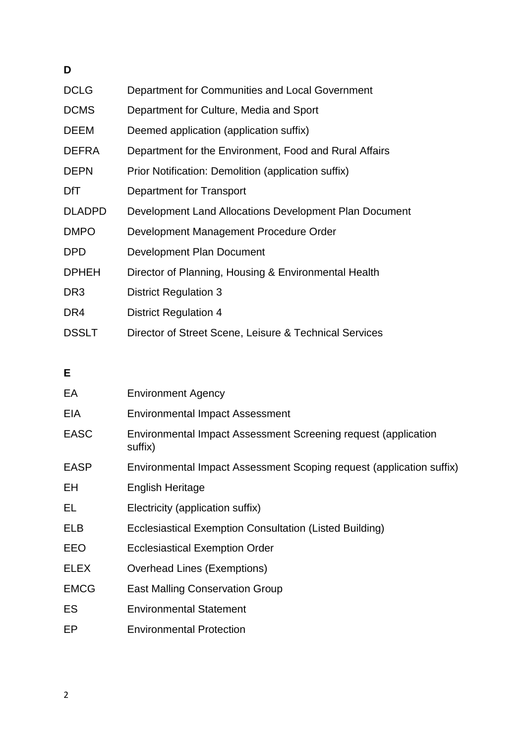## **D**

| <b>DCLG</b>     | Department for Communities and Local Government        |
|-----------------|--------------------------------------------------------|
| <b>DCMS</b>     | Department for Culture, Media and Sport                |
| <b>DEEM</b>     | Deemed application (application suffix)                |
| <b>DEFRA</b>    | Department for the Environment, Food and Rural Affairs |
| <b>DEPN</b>     | Prior Notification: Demolition (application suffix)    |
| <b>DfT</b>      | Department for Transport                               |
| <b>DLADPD</b>   | Development Land Allocations Development Plan Document |
| <b>DMPO</b>     | Development Management Procedure Order                 |
| <b>DPD</b>      | Development Plan Document                              |
| <b>DPHEH</b>    | Director of Planning, Housing & Environmental Health   |
| DR <sub>3</sub> | <b>District Regulation 3</b>                           |
| DR4             | <b>District Regulation 4</b>                           |
| <b>DSSLT</b>    | Director of Street Scene, Leisure & Technical Services |

## **E**

| EA          | <b>Environment Agency</b>                                                 |
|-------------|---------------------------------------------------------------------------|
| EIA         | <b>Environmental Impact Assessment</b>                                    |
| <b>EASC</b> | Environmental Impact Assessment Screening request (application<br>suffix) |
| <b>EASP</b> | Environmental Impact Assessment Scoping request (application suffix)      |
| EH          | <b>English Heritage</b>                                                   |
| EL          | Electricity (application suffix)                                          |
| ELB         | Ecclesiastical Exemption Consultation (Listed Building)                   |
| EEO         | <b>Ecclesiastical Exemption Order</b>                                     |
| <b>ELEX</b> | <b>Overhead Lines (Exemptions)</b>                                        |
| <b>EMCG</b> | <b>East Malling Conservation Group</b>                                    |
| ES          | <b>Environmental Statement</b>                                            |
| EP          | <b>Environmental Protection</b>                                           |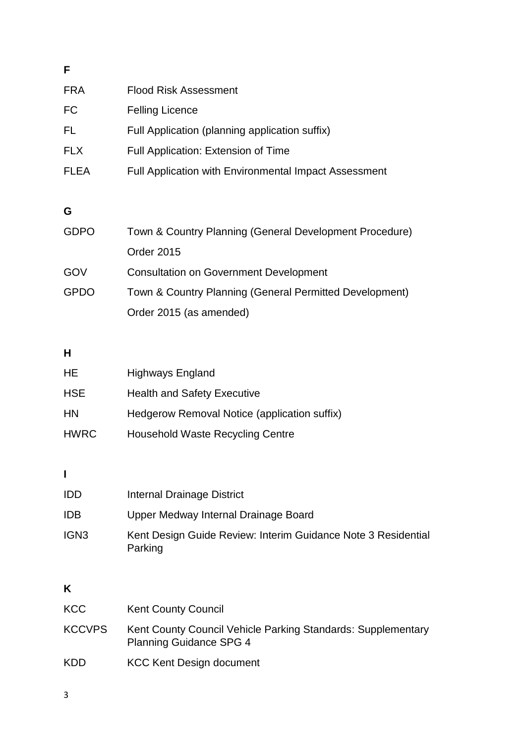| <b>FRA</b>  | Flood Risk Assessment                                        |
|-------------|--------------------------------------------------------------|
| FC          | <b>Felling Licence</b>                                       |
| FL.         | Full Application (planning application suffix)               |
| <b>FLX</b>  | Full Application: Extension of Time                          |
| <b>FLEA</b> | <b>Full Application with Environmental Impact Assessment</b> |
|             |                                                              |

## **G**

| <b>GDPO</b> | Town & Country Planning (General Development Procedure) |
|-------------|---------------------------------------------------------|
|             | <b>Order 2015</b>                                       |
| GOV         | <b>Consultation on Government Development</b>           |
| <b>GPDO</b> | Town & Country Planning (General Permitted Development) |
|             | Order 2015 (as amended)                                 |

## **H**

| HE.         | <b>Highways England</b>                      |
|-------------|----------------------------------------------|
| <b>HSE</b>  | <b>Health and Safety Executive</b>           |
| <b>HN</b>   | Hedgerow Removal Notice (application suffix) |
| <b>HWRC</b> | <b>Household Waste Recycling Centre</b>      |

## **I**

| <b>IDD</b>       | Internal Drainage District                                               |
|------------------|--------------------------------------------------------------------------|
| <b>IDB</b>       | Upper Medway Internal Drainage Board                                     |
| IGN <sub>3</sub> | Kent Design Guide Review: Interim Guidance Note 3 Residential<br>Parking |

# **K**

| KCC           | <b>Kent County Council</b>                                                                     |
|---------------|------------------------------------------------------------------------------------------------|
| <b>KCCVPS</b> | Kent County Council Vehicle Parking Standards: Supplementary<br><b>Planning Guidance SPG 4</b> |
| <b>KDD</b>    | <b>KCC Kent Design document</b>                                                                |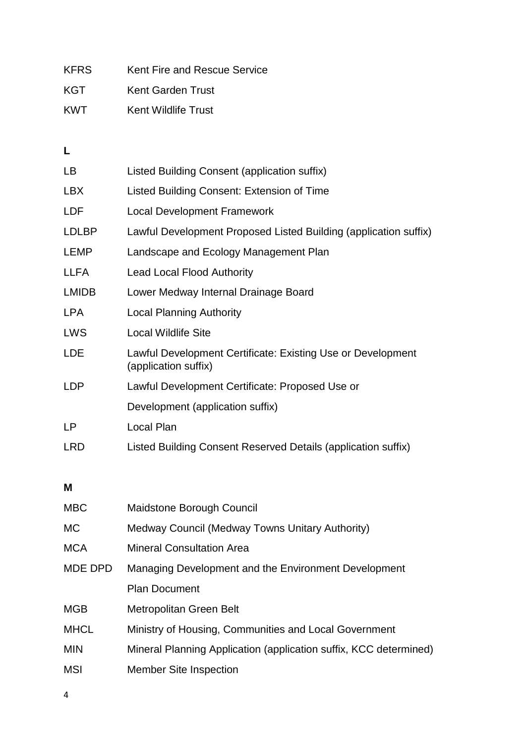| <b>KFRS</b> | Kent Fire and Rescue Service |
|-------------|------------------------------|
| KGT         | Kent Garden Trust            |
| <b>KWT</b>  | Kent Wildlife Trust          |

**L**

| LB.          | Listed Building Consent (application suffix)                                        |
|--------------|-------------------------------------------------------------------------------------|
| LBX          | Listed Building Consent: Extension of Time                                          |
| <b>LDF</b>   | <b>Local Development Framework</b>                                                  |
| <b>LDLBP</b> | Lawful Development Proposed Listed Building (application suffix)                    |
| <b>LEMP</b>  | Landscape and Ecology Management Plan                                               |
| <b>LLFA</b>  | <b>Lead Local Flood Authority</b>                                                   |
| <b>LMIDB</b> | Lower Medway Internal Drainage Board                                                |
| LPA          | <b>Local Planning Authority</b>                                                     |
| <b>LWS</b>   | <b>Local Wildlife Site</b>                                                          |
| <b>LDE</b>   | Lawful Development Certificate: Existing Use or Development<br>(application suffix) |
| <b>LDP</b>   | Lawful Development Certificate: Proposed Use or                                     |
|              | Development (application suffix)                                                    |
| LP           | Local Plan                                                                          |
| <b>LRD</b>   | Listed Building Consent Reserved Details (application suffix)                       |

#### **M**

| <b>MBC</b>     | <b>Maidstone Borough Council</b>                                  |
|----------------|-------------------------------------------------------------------|
| МC             | Medway Council (Medway Towns Unitary Authority)                   |
| <b>MCA</b>     | <b>Mineral Consultation Area</b>                                  |
| <b>MDE DPD</b> | Managing Development and the Environment Development              |
|                | <b>Plan Document</b>                                              |
| <b>MGB</b>     | Metropolitan Green Belt                                           |
| <b>MHCL</b>    | Ministry of Housing, Communities and Local Government             |
| <b>MIN</b>     | Mineral Planning Application (application suffix, KCC determined) |
| MSI            | <b>Member Site Inspection</b>                                     |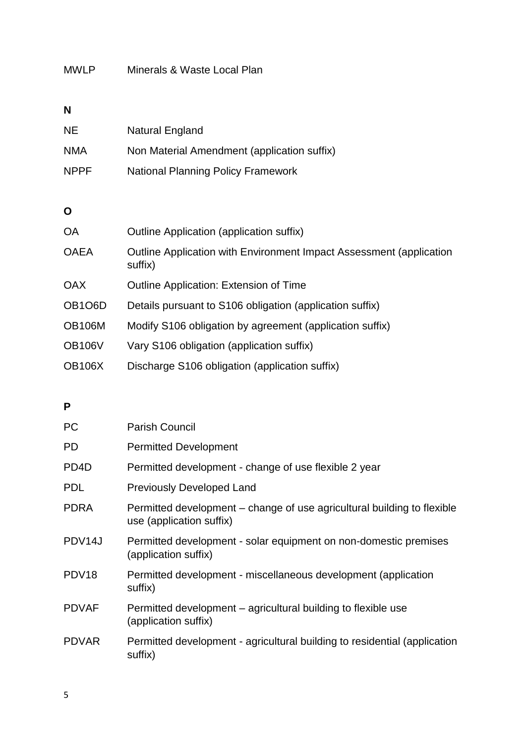#### MWLP Minerals & Waste Local Plan

#### **N**

| <b>NE</b>   | <b>Natural England</b>                      |
|-------------|---------------------------------------------|
| <b>NMA</b>  | Non Material Amendment (application suffix) |
| <b>NPPF</b> | <b>National Planning Policy Framework</b>   |

#### **O**

| <b>OA</b>                        | Outline Application (application suffix)                                       |
|----------------------------------|--------------------------------------------------------------------------------|
| <b>OAEA</b>                      | Outline Application with Environment Impact Assessment (application<br>suffix) |
| <b>OAX</b>                       | <b>Outline Application: Extension of Time</b>                                  |
| OB <sub>1</sub> O <sub>6</sub> D | Details pursuant to S106 obligation (application suffix)                       |
| <b>OB106M</b>                    | Modify S106 obligation by agreement (application suffix)                       |
| <b>OB106V</b>                    | Vary S106 obligation (application suffix)                                      |
| <b>OB106X</b>                    | Discharge S106 obligation (application suffix)                                 |

#### **P**

| <b>PC</b>         | <b>Parish Council</b>                                                                               |
|-------------------|-----------------------------------------------------------------------------------------------------|
| PD                | <b>Permitted Development</b>                                                                        |
| PD <sub>4</sub> D | Permitted development - change of use flexible 2 year                                               |
| <b>PDL</b>        | <b>Previously Developed Land</b>                                                                    |
| <b>PDRA</b>       | Permitted development – change of use agricultural building to flexible<br>use (application suffix) |
| PDV14J            | Permitted development - solar equipment on non-domestic premises<br>(application suffix)            |
| PDV <sub>18</sub> | Permitted development - miscellaneous development (application<br>suffix)                           |
| <b>PDVAF</b>      | Permitted development – agricultural building to flexible use<br>(application suffix)               |
| <b>PDVAR</b>      | Permitted development - agricultural building to residential (application<br>suffix)                |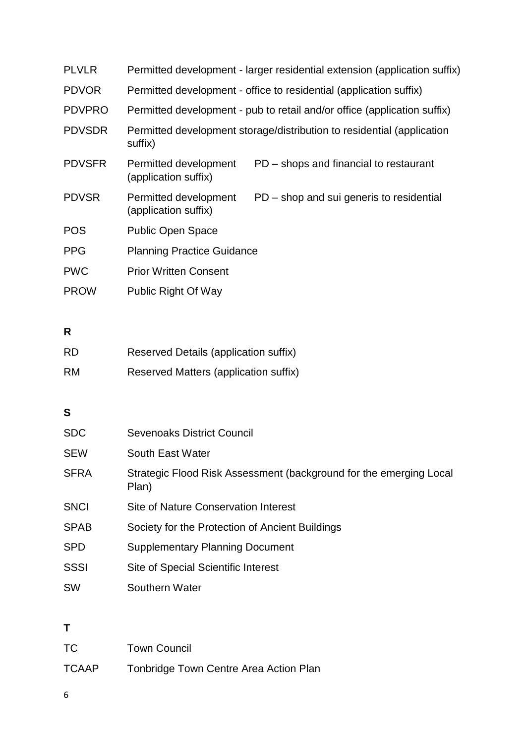| <b>PLVLR</b>  |                                               | Permitted development - larger residential extension (application suffix) |
|---------------|-----------------------------------------------|---------------------------------------------------------------------------|
| <b>PDVOR</b>  |                                               | Permitted development - office to residential (application suffix)        |
| <b>PDVPRO</b> |                                               | Permitted development - pub to retail and/or office (application suffix)  |
| <b>PDVSDR</b> | suffix)                                       | Permitted development storage/distribution to residential (application    |
| <b>PDVSFR</b> | Permitted development<br>(application suffix) | PD – shops and financial to restaurant                                    |
| <b>PDVSR</b>  | Permitted development<br>(application suffix) | PD - shop and sui generis to residential                                  |
| <b>POS</b>    | <b>Public Open Space</b>                      |                                                                           |
| <b>PPG</b>    | <b>Planning Practice Guidance</b>             |                                                                           |
| <b>PWC</b>    | <b>Prior Written Consent</b>                  |                                                                           |
| <b>PROW</b>   | <b>Public Right Of Way</b>                    |                                                                           |

## **R**

| RD.       | Reserved Details (application suffix) |
|-----------|---------------------------------------|
| <b>RM</b> | Reserved Matters (application suffix) |

## **S**

| <b>SDC</b>  | <b>Sevenoaks District Council</b>                                           |
|-------------|-----------------------------------------------------------------------------|
| <b>SEW</b>  | South East Water                                                            |
| <b>SFRA</b> | Strategic Flood Risk Assessment (background for the emerging Local<br>Plan) |
| <b>SNCI</b> | Site of Nature Conservation Interest                                        |
| <b>SPAB</b> | Society for the Protection of Ancient Buildings                             |
| <b>SPD</b>  | <b>Supplementary Planning Document</b>                                      |
| <b>SSSI</b> | Site of Special Scientific Interest                                         |
| <b>SW</b>   | Southern Water                                                              |
|             |                                                                             |

## **T**

| TC           | <b>Town Council</b>                    |
|--------------|----------------------------------------|
| <b>TCAAP</b> | Tonbridge Town Centre Area Action Plan |